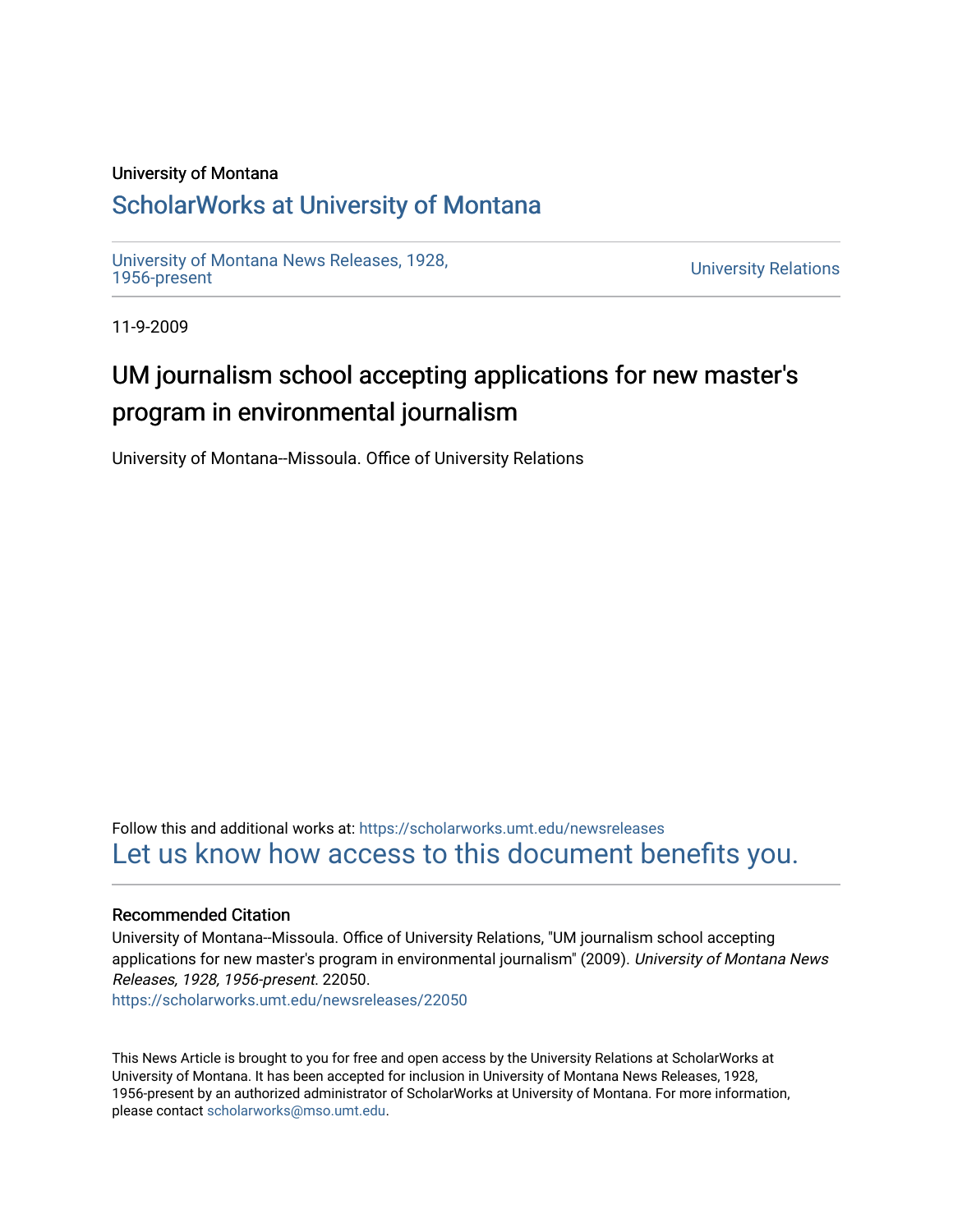#### University of Montana

### [ScholarWorks at University of Montana](https://scholarworks.umt.edu/)

[University of Montana News Releases, 1928,](https://scholarworks.umt.edu/newsreleases) 

**University Relations** 

11-9-2009

# UM journalism school accepting applications for new master's program in environmental journalism

University of Montana--Missoula. Office of University Relations

Follow this and additional works at: [https://scholarworks.umt.edu/newsreleases](https://scholarworks.umt.edu/newsreleases?utm_source=scholarworks.umt.edu%2Fnewsreleases%2F22050&utm_medium=PDF&utm_campaign=PDFCoverPages) [Let us know how access to this document benefits you.](https://goo.gl/forms/s2rGfXOLzz71qgsB2) 

#### Recommended Citation

University of Montana--Missoula. Office of University Relations, "UM journalism school accepting applications for new master's program in environmental journalism" (2009). University of Montana News Releases, 1928, 1956-present. 22050.

[https://scholarworks.umt.edu/newsreleases/22050](https://scholarworks.umt.edu/newsreleases/22050?utm_source=scholarworks.umt.edu%2Fnewsreleases%2F22050&utm_medium=PDF&utm_campaign=PDFCoverPages) 

This News Article is brought to you for free and open access by the University Relations at ScholarWorks at University of Montana. It has been accepted for inclusion in University of Montana News Releases, 1928, 1956-present by an authorized administrator of ScholarWorks at University of Montana. For more information, please contact [scholarworks@mso.umt.edu.](mailto:scholarworks@mso.umt.edu)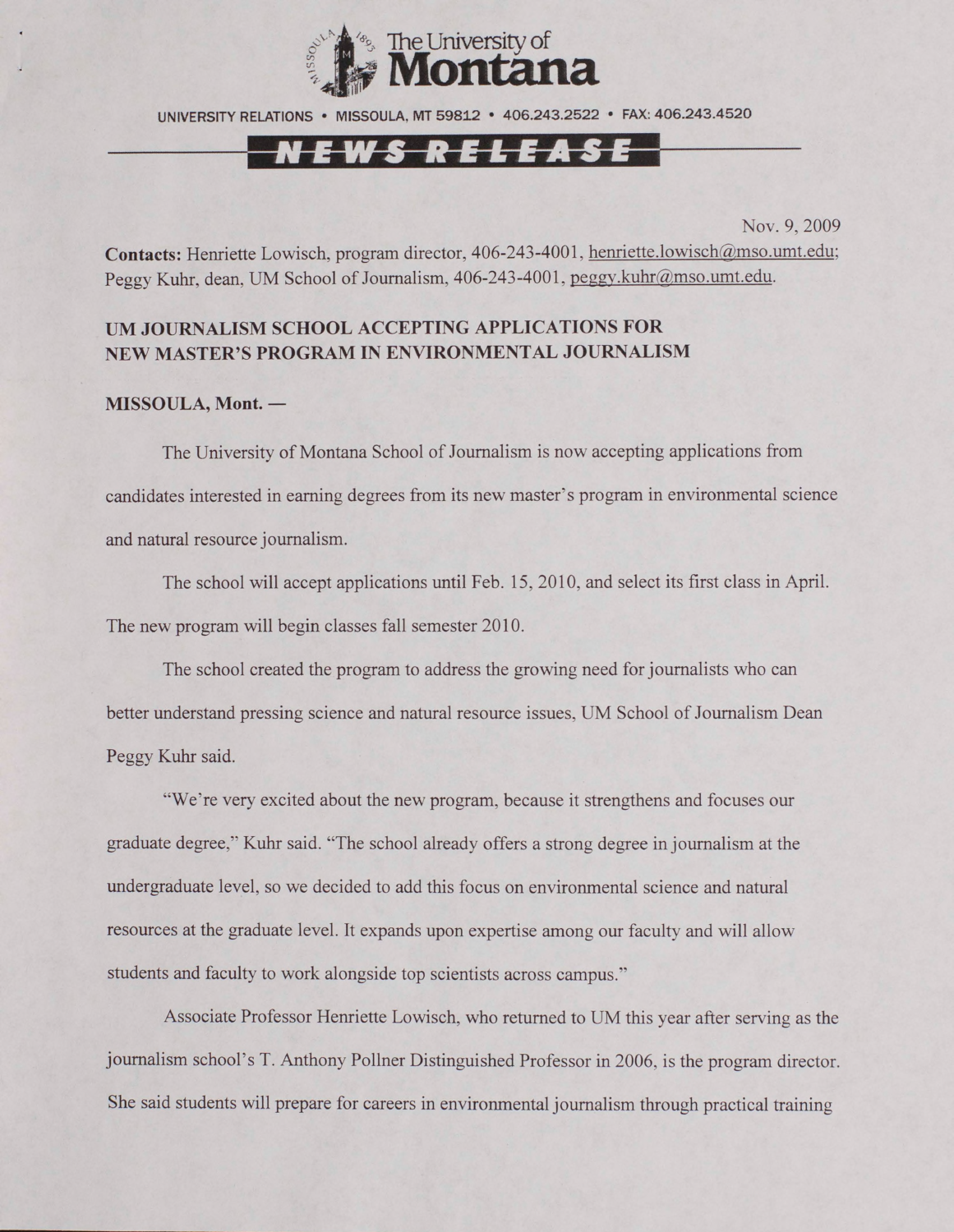

UNIVERSITY RELATIONS • MISSOULA. MT 59812 • 406.243.2522 • FAX: 406.243.4520

## N E W S R E L E A S E

Nov. 9, 2009

Contacts: Henriette Lowisch, program director, 406-243-4001, henriette.lowisch@mso.umt.edu; Peggy Kuhr, dean, UM School of Journalism, 406-243-4001, peggy.kuhr@mso.umt.edu.

### **UM JOURNALISM SCHOOL ACCEPTING APPLICATIONS FOR NEW MASTER'S PROGRAM IN ENVIRONMENTAL JOURNALISM**

#### **MISSOULA, Mont. —**

The University of Montana School of Journalism is now accepting applications from candidates interested in earning degrees from its new master's program in environmental science and natural resource journalism.

The school will accept applications until Feb. 15, 2010, and select its first class in April. The new program will begin classes fall semester 2010.

The school created the program to address the growing need for journalists who can better understand pressing science and natural resource issues, UM School of Journalism Dean Peggy Kuhr said.

"We're very excited about the new program, because it strengthens and focuses our graduate degree,'\* Kuhr said. "The school already offers a strong degree in journalism at the undergraduate level, so we decided to add this focus on environmental science and natural resources at the graduate level. It expands upon expertise among our faculty and will allow students and faculty to work alongside top scientists across campus."

Associate Professor Henriette Lowisch, who returned to UM this year after serving as the journalism school's T. Anthony Pollner Distinguished Professor in 2006, is the program director. She said students will prepare for careers in environmental journalism through practical training